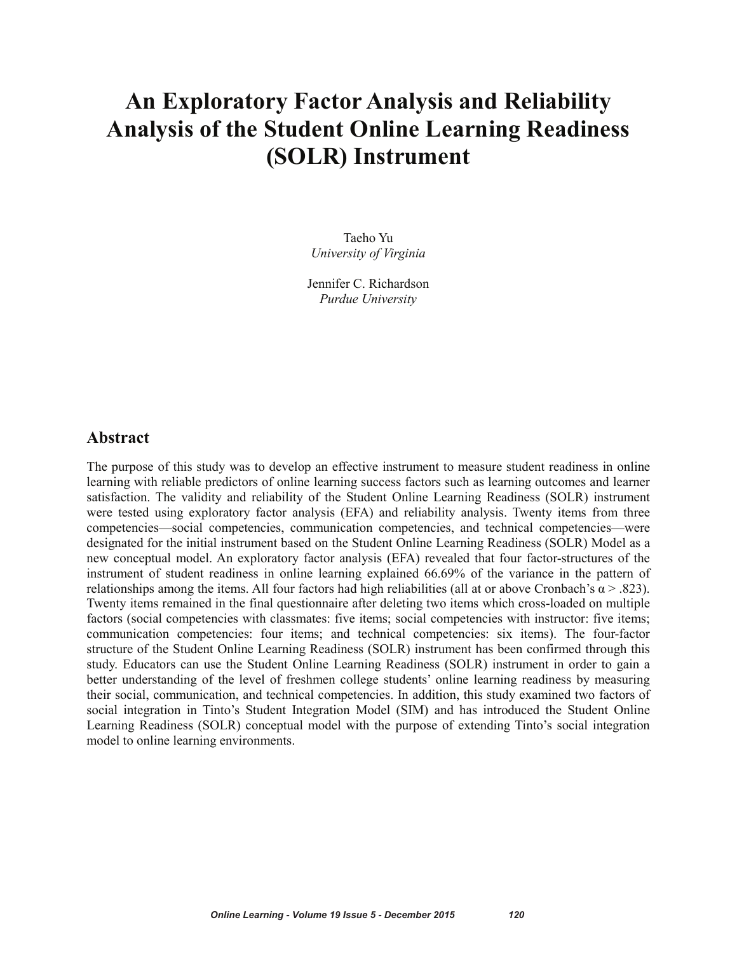# **An Exploratory Factor Analysis and Reliability Analysis of the Student Online Learning Readiness (SOLR) Instrument**

Taeho Yu *University of Virginia*

Jennifer C. Richardson *Purdue University*

## **Abstract**

The purpose of this study was to develop an effective instrument to measure student readiness in online learning with reliable predictors of online learning success factors such as learning outcomes and learner satisfaction. The validity and reliability of the Student Online Learning Readiness (SOLR) instrument were tested using exploratory factor analysis (EFA) and reliability analysis. Twenty items from three competencies—social competencies, communication competencies, and technical competencies—were designated for the initial instrument based on the Student Online Learning Readiness (SOLR) Model as a new conceptual model. An exploratory factor analysis (EFA) revealed that four factor-structures of the instrument of student readiness in online learning explained 66.69% of the variance in the pattern of relationships among the items. All four factors had high reliabilities (all at or above Cronbach's  $\alpha$  > .823). Twenty items remained in the final questionnaire after deleting two items which cross-loaded on multiple factors (social competencies with classmates: five items; social competencies with instructor: five items; communication competencies: four items; and technical competencies: six items). The four-factor structure of the Student Online Learning Readiness (SOLR) instrument has been confirmed through this study. Educators can use the Student Online Learning Readiness (SOLR) instrument in order to gain a better understanding of the level of freshmen college students' online learning readiness by measuring their social, communication, and technical competencies. In addition, this study examined two factors of social integration in Tinto's Student Integration Model (SIM) and has introduced the Student Online Learning Readiness (SOLR) conceptual model with the purpose of extending Tinto's social integration model to online learning environments.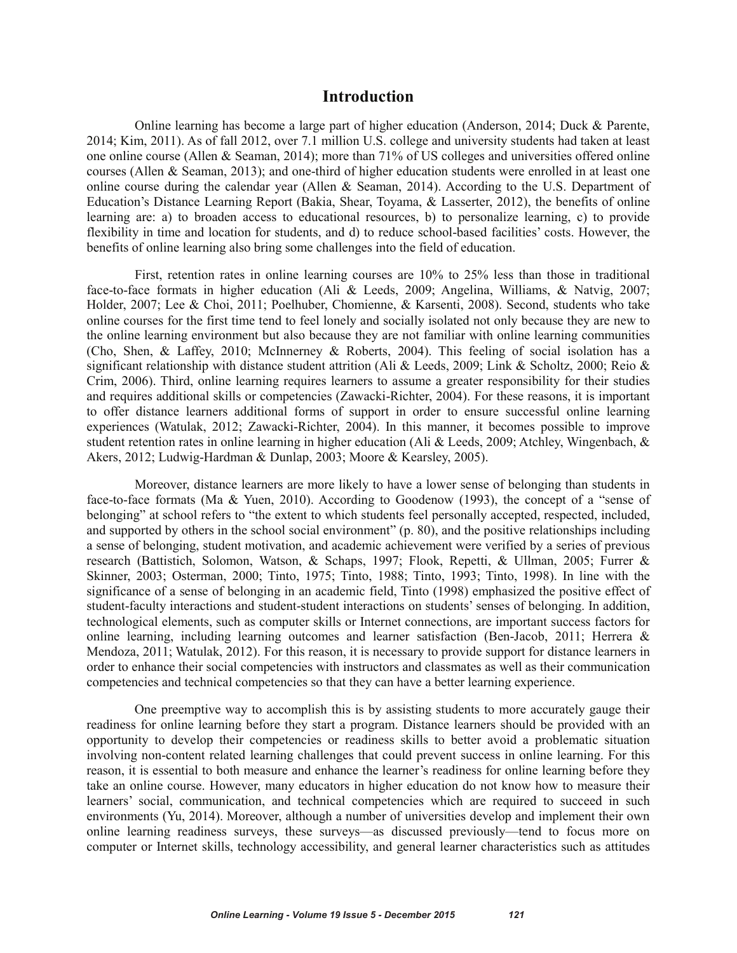## **Introduction**

Online learning has become a large part of higher education (Anderson, 2014; Duck & Parente, 2014; Kim, 2011). As of fall 2012, over 7.1 million U.S. college and university students had taken at least one online course (Allen & Seaman, 2014); more than 71% of US colleges and universities offered online courses (Allen & Seaman, 2013); and one-third of higher education students were enrolled in at least one online course during the calendar year (Allen & Seaman, 2014). According to the U.S. Department of Education's Distance Learning Report (Bakia, Shear, Toyama, & Lasserter, 2012), the benefits of online learning are: a) to broaden access to educational resources, b) to personalize learning, c) to provide flexibility in time and location for students, and d) to reduce school-based facilities' costs. However, the benefits of online learning also bring some challenges into the field of education.

First, retention rates in online learning courses are 10% to 25% less than those in traditional face-to-face formats in higher education (Ali & Leeds, 2009; Angelina, Williams, & Natvig, 2007; Holder, 2007; Lee & Choi, 2011; Poelhuber, Chomienne, & Karsenti, 2008). Second, students who take online courses for the first time tend to feel lonely and socially isolated not only because they are new to the online learning environment but also because they are not familiar with online learning communities (Cho, Shen, & Laffey, 2010; McInnerney & Roberts, 2004). This feeling of social isolation has a significant relationship with distance student attrition (Ali & Leeds, 2009; Link & Scholtz, 2000; Reio & Crim, 2006). Third, online learning requires learners to assume a greater responsibility for their studies and requires additional skills or competencies (Zawacki-Richter, 2004). For these reasons, it is important to offer distance learners additional forms of support in order to ensure successful online learning experiences (Watulak, 2012; Zawacki-Richter, 2004). In this manner, it becomes possible to improve student retention rates in online learning in higher education (Ali & Leeds, 2009; Atchley, Wingenbach, & Akers, 2012; Ludwig-Hardman & Dunlap, 2003; Moore & Kearsley, 2005).

Moreover, distance learners are more likely to have a lower sense of belonging than students in face-to-face formats (Ma & Yuen, 2010). According to Goodenow (1993), the concept of a "sense of belonging" at school refers to "the extent to which students feel personally accepted, respected, included, and supported by others in the school social environment" (p. 80), and the positive relationships including a sense of belonging, student motivation, and academic achievement were verified by a series of previous research (Battistich, Solomon, Watson, & Schaps, 1997; Flook, Repetti, & Ullman, 2005; Furrer & Skinner, 2003; Osterman, 2000; Tinto, 1975; Tinto, 1988; Tinto, 1993; Tinto, 1998). In line with the significance of a sense of belonging in an academic field, Tinto (1998) emphasized the positive effect of student-faculty interactions and student-student interactions on students' senses of belonging. In addition, technological elements, such as computer skills or Internet connections, are important success factors for online learning, including learning outcomes and learner satisfaction (Ben-Jacob, 2011; Herrera  $\&$ Mendoza, 2011; Watulak, 2012). For this reason, it is necessary to provide support for distance learners in order to enhance their social competencies with instructors and classmates as well as their communication competencies and technical competencies so that they can have a better learning experience.

One preemptive way to accomplish this is by assisting students to more accurately gauge their readiness for online learning before they start a program. Distance learners should be provided with an opportunity to develop their competencies or readiness skills to better avoid a problematic situation involving non-content related learning challenges that could prevent success in online learning. For this reason, it is essential to both measure and enhance the learner's readiness for online learning before they take an online course. However, many educators in higher education do not know how to measure their learners' social, communication, and technical competencies which are required to succeed in such environments (Yu, 2014). Moreover, although a number of universities develop and implement their own online learning readiness surveys, these surveys—as discussed previously—tend to focus more on computer or Internet skills, technology accessibility, and general learner characteristics such as attitudes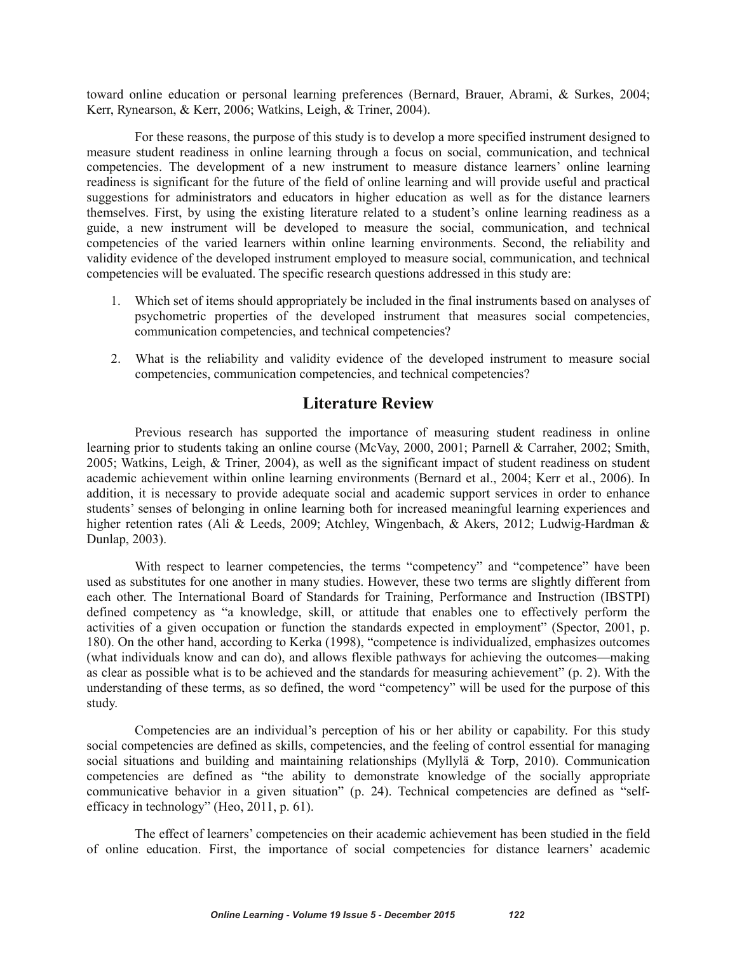toward online education or personal learning preferences (Bernard, Brauer, Abrami, & Surkes, 2004; Kerr, Rynearson, & Kerr, 2006; Watkins, Leigh, & Triner, 2004).

For these reasons, the purpose of this study is to develop a more specified instrument designed to measure student readiness in online learning through a focus on social, communication, and technical competencies. The development of a new instrument to measure distance learners' online learning readiness is significant for the future of the field of online learning and will provide useful and practical suggestions for administrators and educators in higher education as well as for the distance learners themselves. First, by using the existing literature related to a student's online learning readiness as a guide, a new instrument will be developed to measure the social, communication, and technical competencies of the varied learners within online learning environments. Second, the reliability and validity evidence of the developed instrument employed to measure social, communication, and technical competencies will be evaluated. The specific research questions addressed in this study are:

- 1. Which set of items should appropriately be included in the final instruments based on analyses of psychometric properties of the developed instrument that measures social competencies, communication competencies, and technical competencies?
- 2. What is the reliability and validity evidence of the developed instrument to measure social competencies, communication competencies, and technical competencies?

# **Literature Review**

Previous research has supported the importance of measuring student readiness in online learning prior to students taking an online course (McVay, 2000, 2001; Parnell & Carraher, 2002; Smith, 2005; Watkins, Leigh, & Triner, 2004), as well as the significant impact of student readiness on student academic achievement within online learning environments (Bernard et al., 2004; Kerr et al., 2006). In addition, it is necessary to provide adequate social and academic support services in order to enhance students' senses of belonging in online learning both for increased meaningful learning experiences and higher retention rates (Ali & Leeds, 2009; Atchley, Wingenbach, & Akers, 2012; Ludwig-Hardman & Dunlap, 2003).

With respect to learner competencies, the terms "competency" and "competence" have been used as substitutes for one another in many studies. However, these two terms are slightly different from each other. The International Board of Standards for Training, Performance and Instruction (IBSTPI) defined competency as "a knowledge, skill, or attitude that enables one to effectively perform the activities of a given occupation or function the standards expected in employment" (Spector, 2001, p. 180). On the other hand, according to Kerka (1998), "competence is individualized, emphasizes outcomes (what individuals know and can do), and allows flexible pathways for achieving the outcomes—making as clear as possible what is to be achieved and the standards for measuring achievement" (p. 2). With the understanding of these terms, as so defined, the word "competency" will be used for the purpose of this study.

Competencies are an individual's perception of his or her ability or capability. For this study social competencies are defined as skills, competencies, and the feeling of control essential for managing social situations and building and maintaining relationships (Myllylä & Torp, 2010). Communication competencies are defined as "the ability to demonstrate knowledge of the socially appropriate communicative behavior in a given situation" (p. 24). Technical competencies are defined as "selfefficacy in technology" (Heo, 2011, p. 61).

The effect of learners' competencies on their academic achievement has been studied in the field of online education. First, the importance of social competencies for distance learners' academic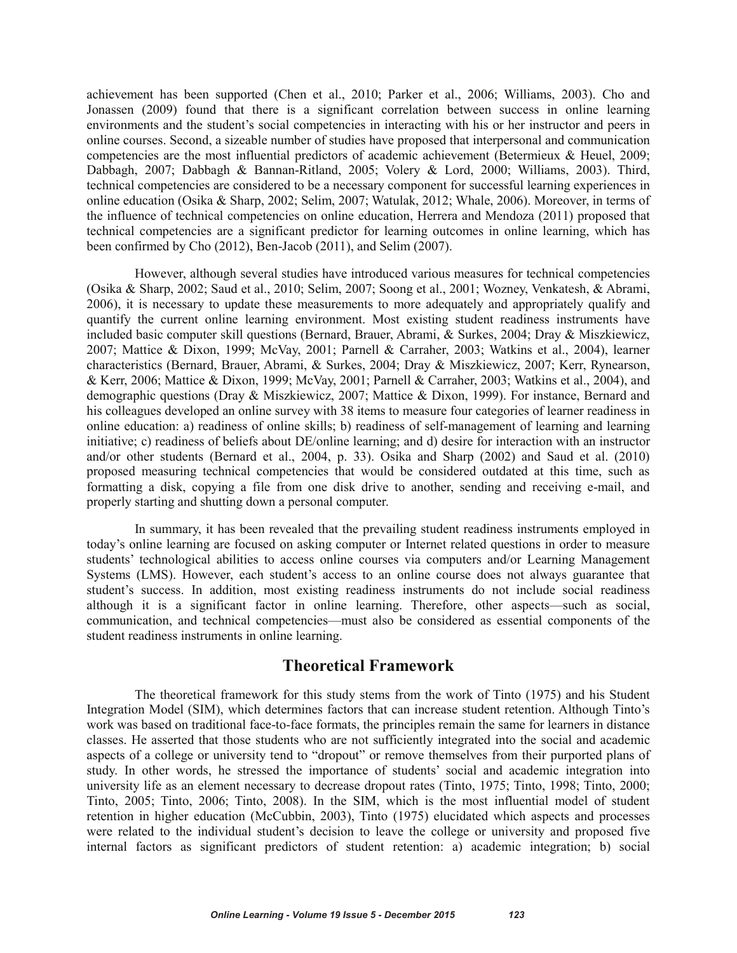achievement has been supported (Chen et al., 2010; Parker et al., 2006; Williams, 2003). Cho and Jonassen (2009) found that there is a significant correlation between success in online learning environments and the student's social competencies in interacting with his or her instructor and peers in online courses. Second, a sizeable number of studies have proposed that interpersonal and communication competencies are the most influential predictors of academic achievement (Betermieux & Heuel, 2009; Dabbagh, 2007; Dabbagh & Bannan-Ritland, 2005; Volery & Lord, 2000; Williams, 2003). Third, technical competencies are considered to be a necessary component for successful learning experiences in online education (Osika & Sharp, 2002; Selim, 2007; Watulak, 2012; Whale, 2006). Moreover, in terms of the influence of technical competencies on online education, Herrera and Mendoza (2011) proposed that technical competencies are a significant predictor for learning outcomes in online learning, which has been confirmed by Cho (2012), Ben-Jacob (2011), and Selim (2007).

However, although several studies have introduced various measures for technical competencies (Osika & Sharp, 2002; Saud et al., 2010; Selim, 2007; Soong et al., 2001; Wozney, Venkatesh, & Abrami, 2006), it is necessary to update these measurements to more adequately and appropriately qualify and quantify the current online learning environment. Most existing student readiness instruments have included basic computer skill questions (Bernard, Brauer, Abrami, & Surkes, 2004; Dray & Miszkiewicz, 2007; Mattice & Dixon, 1999; McVay, 2001; Parnell & Carraher, 2003; Watkins et al., 2004), learner characteristics (Bernard, Brauer, Abrami, & Surkes, 2004; Dray & Miszkiewicz, 2007; Kerr, Rynearson, & Kerr, 2006; Mattice & Dixon, 1999; McVay, 2001; Parnell & Carraher, 2003; Watkins et al., 2004), and demographic questions (Dray & Miszkiewicz, 2007; Mattice & Dixon, 1999). For instance, Bernard and his colleagues developed an online survey with 38 items to measure four categories of learner readiness in online education: a) readiness of online skills; b) readiness of self-management of learning and learning initiative; c) readiness of beliefs about DE/online learning; and d) desire for interaction with an instructor and/or other students (Bernard et al., 2004, p. 33). Osika and Sharp (2002) and Saud et al. (2010) proposed measuring technical competencies that would be considered outdated at this time, such as formatting a disk, copying a file from one disk drive to another, sending and receiving e-mail, and properly starting and shutting down a personal computer.

In summary, it has been revealed that the prevailing student readiness instruments employed in today's online learning are focused on asking computer or Internet related questions in order to measure students' technological abilities to access online courses via computers and/or Learning Management Systems (LMS). However, each student's access to an online course does not always guarantee that student's success. In addition, most existing readiness instruments do not include social readiness although it is a significant factor in online learning. Therefore, other aspects—such as social, communication, and technical competencies—must also be considered as essential components of the student readiness instruments in online learning.

# **Theoretical Framework**

The theoretical framework for this study stems from the work of Tinto (1975) and his Student Integration Model (SIM), which determines factors that can increase student retention. Although Tinto's work was based on traditional face-to-face formats, the principles remain the same for learners in distance classes. He asserted that those students who are not sufficiently integrated into the social and academic aspects of a college or university tend to "dropout" or remove themselves from their purported plans of study. In other words, he stressed the importance of students' social and academic integration into university life as an element necessary to decrease dropout rates (Tinto, 1975; Tinto, 1998; Tinto, 2000; Tinto, 2005; Tinto, 2006; Tinto, 2008). In the SIM, which is the most influential model of student retention in higher education (McCubbin, 2003), Tinto (1975) elucidated which aspects and processes were related to the individual student's decision to leave the college or university and proposed five internal factors as significant predictors of student retention: a) academic integration; b) social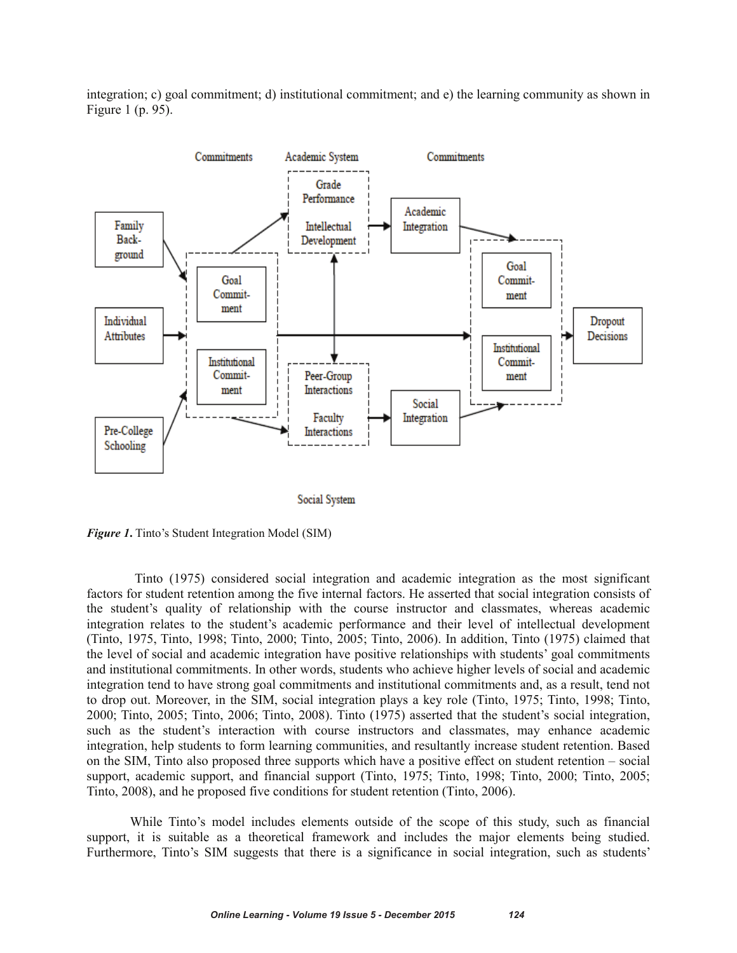integration; c) goal commitment; d) institutional commitment; and e) the learning community as shown in Figure 1 (p. 95).



Social System

*Figure 1***.** Tinto's Student Integration Model (SIM)

Tinto (1975) considered social integration and academic integration as the most significant factors for student retention among the five internal factors. He asserted that social integration consists of the student's quality of relationship with the course instructor and classmates, whereas academic integration relates to the student's academic performance and their level of intellectual development (Tinto, 1975, Tinto, 1998; Tinto, 2000; Tinto, 2005; Tinto, 2006). In addition, Tinto (1975) claimed that the level of social and academic integration have positive relationships with students' goal commitments and institutional commitments. In other words, students who achieve higher levels of social and academic integration tend to have strong goal commitments and institutional commitments and, as a result, tend not to drop out. Moreover, in the SIM, social integration plays a key role (Tinto, 1975; Tinto, 1998; Tinto, 2000; Tinto, 2005; Tinto, 2006; Tinto, 2008). Tinto (1975) asserted that the student's social integration, such as the student's interaction with course instructors and classmates, may enhance academic integration, help students to form learning communities, and resultantly increase student retention. Based on the SIM, Tinto also proposed three supports which have a positive effect on student retention – social support, academic support, and financial support (Tinto, 1975; Tinto, 1998; Tinto, 2000; Tinto, 2005; Tinto, 2008), and he proposed five conditions for student retention (Tinto, 2006).

While Tinto's model includes elements outside of the scope of this study, such as financial support, it is suitable as a theoretical framework and includes the major elements being studied. Furthermore, Tinto's SIM suggests that there is a significance in social integration, such as students'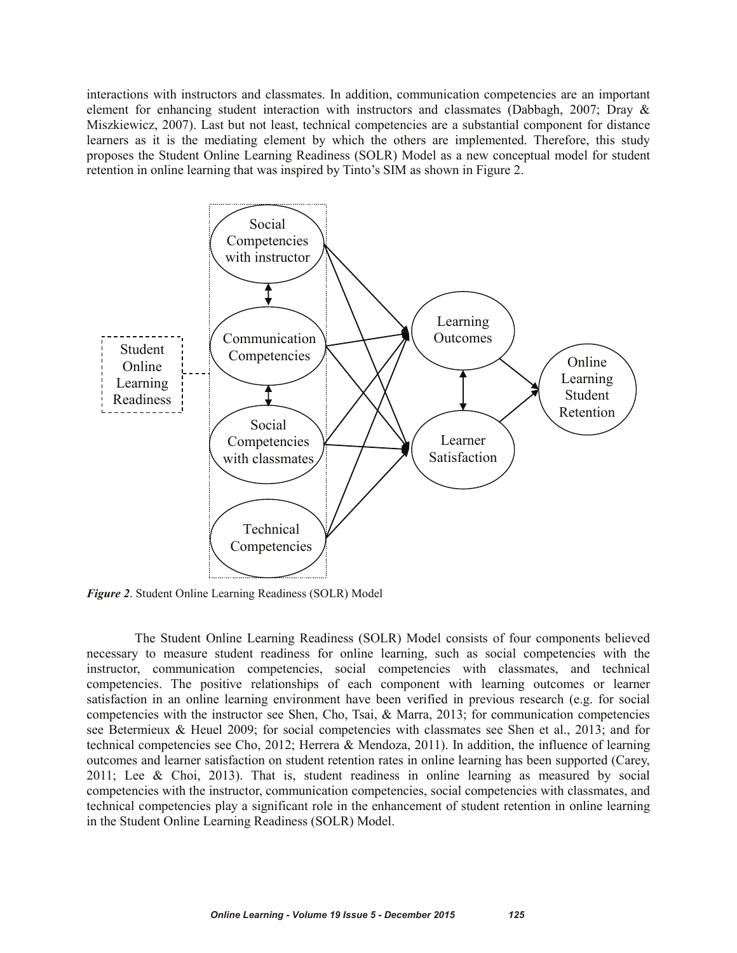interactions with instructors and classmates. In addition, communication competencies are an important element for enhancing student interaction with instructors and classmates (Dabbagh, 2007; Dray & Miszkiewicz, 2007). Last but not least, technical competencies are a substantial component for distance learners as it is the mediating element by which the others are implemented. Therefore, this study proposes the Student Online Learning Readiness (SOLR) Model as a new conceptual model for student retention in online learning that was inspired by Tinto's SIM as shown in Figure 2.



*Figure 2*. Student Online Learning Readiness (SOLR) Model

The Student Online Learning Readiness (SOLR) Model consists of four components believed necessary to measure student readiness for online learning, such as social competencies with the instructor, communication competencies, social competencies with classmates, and technical competencies. The positive relationships of each component with learning outcomes or learner satisfaction in an online learning environment have been verified in previous research (e.g. for social competencies with the instructor see Shen, Cho, Tsai, & Marra, 2013; for communication competencies see Betermieux & Heuel 2009; for social competencies with classmates see Shen et al., 2013; and for technical competencies see Cho, 2012; Herrera & Mendoza, 2011). In addition, the influence of learning outcomes and learner satisfaction on student retention rates in online learning has been supported (Carey, 2011; Lee & Choi, 2013). That is, student readiness in online learning as measured by social competencies with the instructor, communication competencies, social competencies with classmates, and technical competencies play a significant role in the enhancement of student retention in online learning in the Student Online Learning Readiness (SOLR) Model.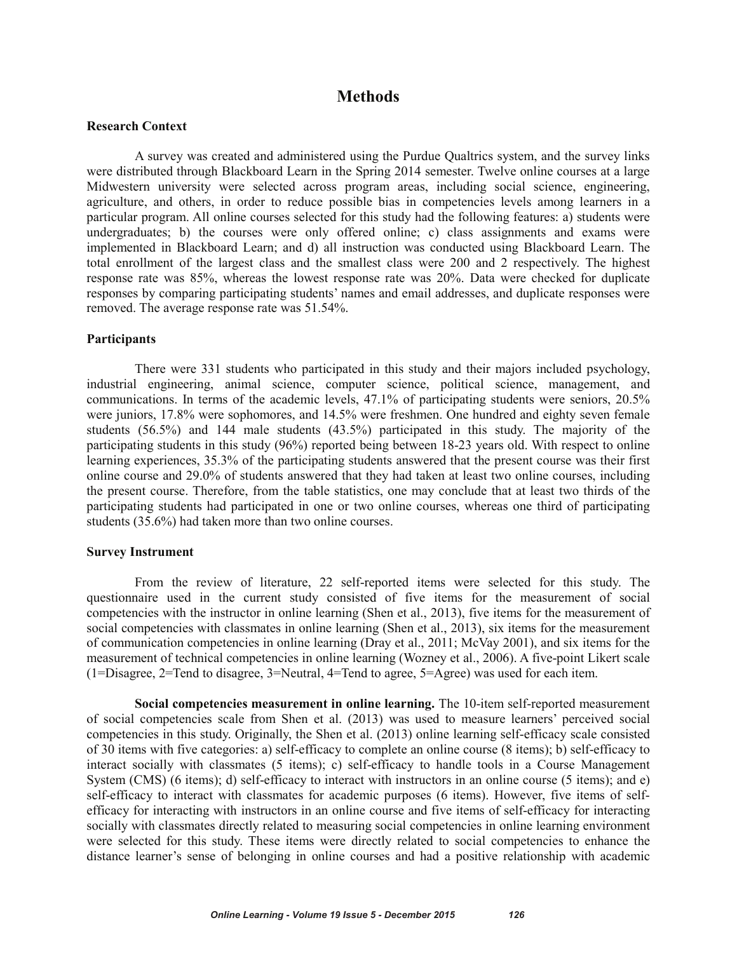## **Methods**

## **Research Context**

A survey was created and administered using the Purdue Qualtrics system, and the survey links were distributed through Blackboard Learn in the Spring 2014 semester. Twelve online courses at a large Midwestern university were selected across program areas, including social science, engineering, agriculture, and others, in order to reduce possible bias in competencies levels among learners in a particular program. All online courses selected for this study had the following features: a) students were undergraduates; b) the courses were only offered online; c) class assignments and exams were implemented in Blackboard Learn; and d) all instruction was conducted using Blackboard Learn. The total enrollment of the largest class and the smallest class were 200 and 2 respectively. The highest response rate was 85%, whereas the lowest response rate was 20%. Data were checked for duplicate responses by comparing participating students' names and email addresses, and duplicate responses were removed. The average response rate was 51.54%.

#### **Participants**

There were 331 students who participated in this study and their majors included psychology, industrial engineering, animal science, computer science, political science, management, and communications. In terms of the academic levels, 47.1% of participating students were seniors, 20.5% were juniors, 17.8% were sophomores, and 14.5% were freshmen. One hundred and eighty seven female students (56.5%) and 144 male students (43.5%) participated in this study. The majority of the participating students in this study (96%) reported being between 18-23 years old. With respect to online learning experiences, 35.3% of the participating students answered that the present course was their first online course and 29.0% of students answered that they had taken at least two online courses, including the present course. Therefore, from the table statistics, one may conclude that at least two thirds of the participating students had participated in one or two online courses, whereas one third of participating students (35.6%) had taken more than two online courses.

#### **Survey Instrument**

From the review of literature, 22 self-reported items were selected for this study. The questionnaire used in the current study consisted of five items for the measurement of social competencies with the instructor in online learning (Shen et al., 2013), five items for the measurement of social competencies with classmates in online learning (Shen et al., 2013), six items for the measurement of communication competencies in online learning (Dray et al., 2011; McVay 2001), and six items for the measurement of technical competencies in online learning (Wozney et al., 2006). A five-point Likert scale (1=Disagree, 2=Tend to disagree, 3=Neutral, 4=Tend to agree, 5=Agree) was used for each item.

**Social competencies measurement in online learning.** The 10-item self-reported measurement of social competencies scale from Shen et al. (2013) was used to measure learners' perceived social competencies in this study. Originally, the Shen et al. (2013) online learning self-efficacy scale consisted of 30 items with five categories: a) self-efficacy to complete an online course (8 items); b) self-efficacy to interact socially with classmates (5 items); c) self-efficacy to handle tools in a Course Management System (CMS) (6 items); d) self-efficacy to interact with instructors in an online course (5 items); and e) self-efficacy to interact with classmates for academic purposes (6 items). However, five items of selfefficacy for interacting with instructors in an online course and five items of self-efficacy for interacting socially with classmates directly related to measuring social competencies in online learning environment were selected for this study. These items were directly related to social competencies to enhance the distance learner's sense of belonging in online courses and had a positive relationship with academic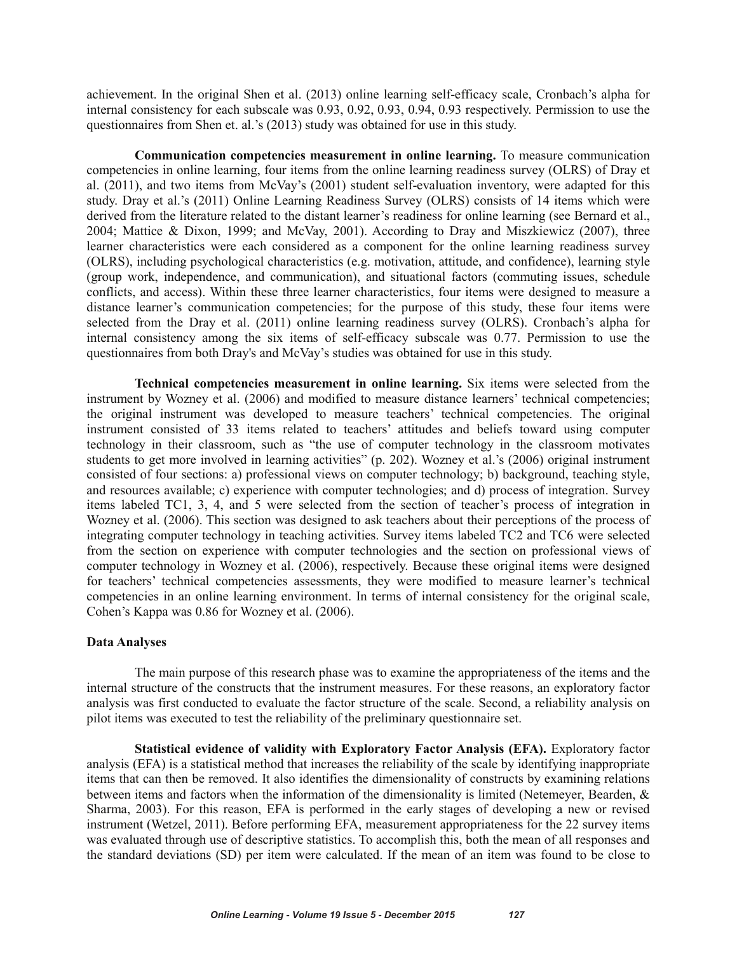achievement. In the original Shen et al. (2013) online learning self-efficacy scale, Cronbach's alpha for internal consistency for each subscale was 0.93, 0.92, 0.93, 0.94, 0.93 respectively. Permission to use the questionnaires from Shen et. al.'s (2013) study was obtained for use in this study.

**Communication competencies measurement in online learning.** To measure communication competencies in online learning, four items from the online learning readiness survey (OLRS) of Dray et al. (2011), and two items from McVay's (2001) student self-evaluation inventory, were adapted for this study. Dray et al.'s (2011) Online Learning Readiness Survey (OLRS) consists of 14 items which were derived from the literature related to the distant learner's readiness for online learning (see Bernard et al., 2004; Mattice & Dixon, 1999; and McVay, 2001). According to Dray and Miszkiewicz (2007), three learner characteristics were each considered as a component for the online learning readiness survey (OLRS), including psychological characteristics (e.g. motivation, attitude, and confidence), learning style (group work, independence, and communication), and situational factors (commuting issues, schedule conflicts, and access). Within these three learner characteristics, four items were designed to measure a distance learner's communication competencies; for the purpose of this study, these four items were selected from the Dray et al. (2011) online learning readiness survey (OLRS). Cronbach's alpha for internal consistency among the six items of self-efficacy subscale was 0.77. Permission to use the questionnaires from both Dray's and McVay's studies was obtained for use in this study.

**Technical competencies measurement in online learning.** Six items were selected from the instrument by Wozney et al. (2006) and modified to measure distance learners' technical competencies; the original instrument was developed to measure teachers' technical competencies. The original instrument consisted of 33 items related to teachers' attitudes and beliefs toward using computer technology in their classroom, such as "the use of computer technology in the classroom motivates students to get more involved in learning activities" (p. 202). Wozney et al.'s (2006) original instrument consisted of four sections: a) professional views on computer technology; b) background, teaching style, and resources available; c) experience with computer technologies; and d) process of integration. Survey items labeled TC1, 3, 4, and 5 were selected from the section of teacher's process of integration in Wozney et al. (2006). This section was designed to ask teachers about their perceptions of the process of integrating computer technology in teaching activities. Survey items labeled TC2 and TC6 were selected from the section on experience with computer technologies and the section on professional views of computer technology in Wozney et al. (2006), respectively. Because these original items were designed for teachers' technical competencies assessments, they were modified to measure learner's technical competencies in an online learning environment. In terms of internal consistency for the original scale, Cohen's Kappa was 0.86 for Wozney et al. (2006).

## **Data Analyses**

The main purpose of this research phase was to examine the appropriateness of the items and the internal structure of the constructs that the instrument measures. For these reasons, an exploratory factor analysis was first conducted to evaluate the factor structure of the scale. Second, a reliability analysis on pilot items was executed to test the reliability of the preliminary questionnaire set.

**Statistical evidence of validity with Exploratory Factor Analysis (EFA).** Exploratory factor analysis (EFA) is a statistical method that increases the reliability of the scale by identifying inappropriate items that can then be removed. It also identifies the dimensionality of constructs by examining relations between items and factors when the information of the dimensionality is limited (Netemeyer, Bearden, & Sharma, 2003). For this reason, EFA is performed in the early stages of developing a new or revised instrument (Wetzel, 2011). Before performing EFA, measurement appropriateness for the 22 survey items was evaluated through use of descriptive statistics. To accomplish this, both the mean of all responses and the standard deviations (SD) per item were calculated. If the mean of an item was found to be close to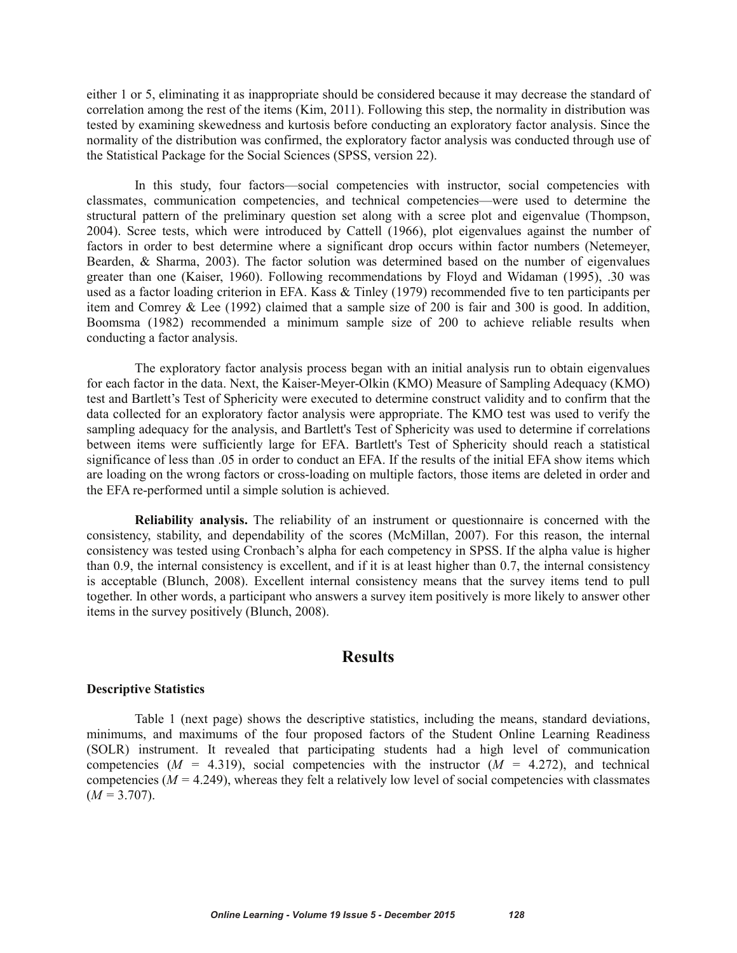either 1 or 5, eliminating it as inappropriate should be considered because it may decrease the standard of correlation among the rest of the items (Kim, 2011). Following this step, the normality in distribution was tested by examining skewedness and kurtosis before conducting an exploratory factor analysis. Since the normality of the distribution was confirmed, the exploratory factor analysis was conducted through use of the Statistical Package for the Social Sciences (SPSS, version 22).

In this study, four factors—social competencies with instructor, social competencies with classmates, communication competencies, and technical competencies—were used to determine the structural pattern of the preliminary question set along with a scree plot and eigenvalue (Thompson, 2004). Scree tests, which were introduced by Cattell (1966), plot eigenvalues against the number of factors in order to best determine where a significant drop occurs within factor numbers (Netemeyer, Bearden, & Sharma, 2003). The factor solution was determined based on the number of eigenvalues greater than one (Kaiser, 1960). Following recommendations by Floyd and Widaman (1995), .30 was used as a factor loading criterion in EFA. Kass & Tinley (1979) recommended five to ten participants per item and Comrey & Lee (1992) claimed that a sample size of 200 is fair and 300 is good. In addition, Boomsma (1982) recommended a minimum sample size of 200 to achieve reliable results when conducting a factor analysis.

The exploratory factor analysis process began with an initial analysis run to obtain eigenvalues for each factor in the data. Next, the Kaiser-Meyer-Olkin (KMO) Measure of Sampling Adequacy (KMO) test and Bartlett's Test of Sphericity were executed to determine construct validity and to confirm that the data collected for an exploratory factor analysis were appropriate. The KMO test was used to verify the sampling adequacy for the analysis, and Bartlett's Test of Sphericity was used to determine if correlations between items were sufficiently large for EFA. Bartlett's Test of Sphericity should reach a statistical significance of less than .05 in order to conduct an EFA. If the results of the initial EFA show items which are loading on the wrong factors or cross-loading on multiple factors, those items are deleted in order and the EFA re-performed until a simple solution is achieved.

**Reliability analysis.** The reliability of an instrument or questionnaire is concerned with the consistency, stability, and dependability of the scores (McMillan, 2007). For this reason, the internal consistency was tested using Cronbach's alpha for each competency in SPSS. If the alpha value is higher than 0.9, the internal consistency is excellent, and if it is at least higher than 0.7, the internal consistency is acceptable (Blunch, 2008). Excellent internal consistency means that the survey items tend to pull together. In other words, a participant who answers a survey item positively is more likely to answer other items in the survey positively (Blunch, 2008).

## **Results**

#### **Descriptive Statistics**

Table 1 (next page) shows the descriptive statistics, including the means, standard deviations, minimums, and maximums of the four proposed factors of the Student Online Learning Readiness (SOLR) instrument. It revealed that participating students had a high level of communication competencies ( $M = 4.319$ ), social competencies with the instructor ( $M = 4.272$ ), and technical competencies  $(M = 4.249)$ , whereas they felt a relatively low level of social competencies with classmates  $(M = 3.707)$ .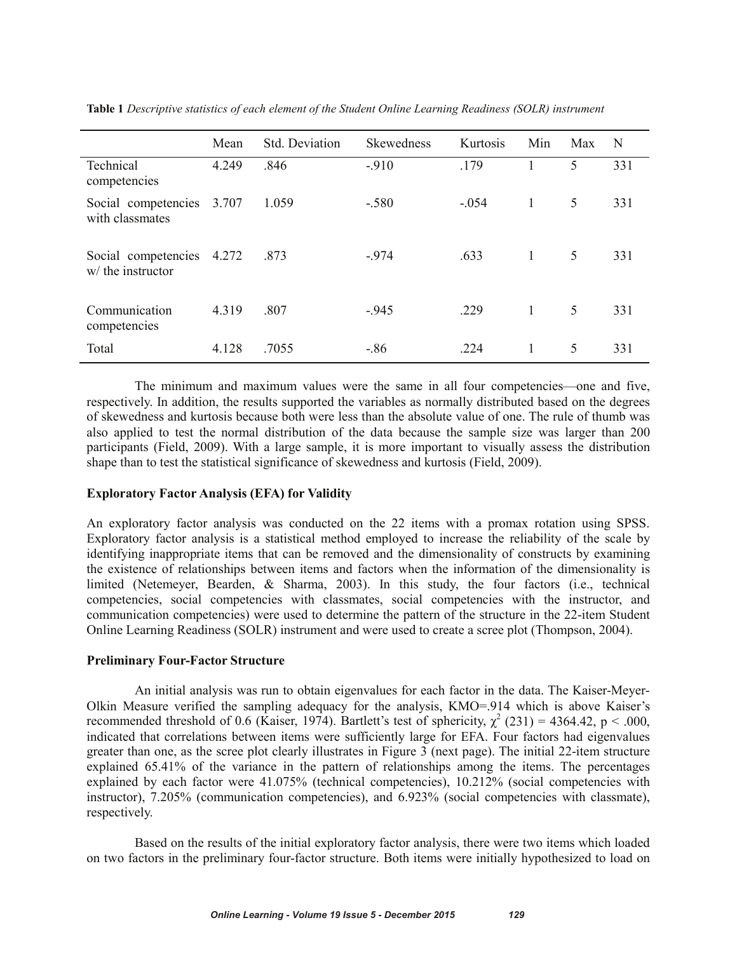|                                                | Mean  | Std. Deviation | <b>Skewedness</b> | Kurtosis | Min          | Max | N   |
|------------------------------------------------|-------|----------------|-------------------|----------|--------------|-----|-----|
| Technical<br>competencies                      | 4.249 | .846           | $-910$            | .179     |              | 5   | 331 |
| Social competencies<br>with classmates         | 3.707 | 1.059          | $-.580$           | $-.054$  | $\mathbf{1}$ | 5   | 331 |
| Social competencies 4.272<br>w/ the instructor |       | .873           | $-974$            | .633     | 1            | 5   | 331 |
| Communication<br>competencies                  | 4.319 | .807           | $-945$            | .229     | 1            | 5   | 331 |
| Total                                          | 4.128 | .7055          | $-.86$            | .224     | 1            | 5   | 331 |

**Table 1** *Descriptive statistics of each element of the Student Online Learning Readiness (SOLR) instrument*

The minimum and maximum values were the same in all four competencies—one and five, respectively. In addition, the results supported the variables as normally distributed based on the degrees of skewedness and kurtosis because both were less than the absolute value of one. The rule of thumb was also applied to test the normal distribution of the data because the sample size was larger than 200 participants (Field, 2009). With a large sample, it is more important to visually assess the distribution shape than to test the statistical significance of skewedness and kurtosis (Field, 2009).

## **Exploratory Factor Analysis (EFA) for Validity**

An exploratory factor analysis was conducted on the 22 items with a promax rotation using SPSS. Exploratory factor analysis is a statistical method employed to increase the reliability of the scale by identifying inappropriate items that can be removed and the dimensionality of constructs by examining the existence of relationships between items and factors when the information of the dimensionality is limited (Netemeyer, Bearden, & Sharma, 2003). In this study, the four factors (i.e., technical competencies, social competencies with classmates, social competencies with the instructor, and communication competencies) were used to determine the pattern of the structure in the 22-item Student Online Learning Readiness (SOLR) instrument and were used to create a scree plot (Thompson, 2004).

#### **Preliminary Four-Factor Structure**

An initial analysis was run to obtain eigenvalues for each factor in the data. The Kaiser-Meyer-Olkin Measure verified the sampling adequacy for the analysis, KMO=.914 which is above Kaiser's recommended threshold of 0.6 (Kaiser, 1974). Bartlett's test of sphericity,  $\gamma^2$  (231) = 4364.42, p < .000, indicated that correlations between items were sufficiently large for EFA. Four factors had eigenvalues greater than one, as the scree plot clearly illustrates in Figure 3 (next page). The initial 22-item structure explained 65.41% of the variance in the pattern of relationships among the items. The percentages explained by each factor were 41.075% (technical competencies), 10.212% (social competencies with instructor), 7.205% (communication competencies), and 6.923% (social competencies with classmate), respectively.

Based on the results of the initial exploratory factor analysis, there were two items which loaded on two factors in the preliminary four-factor structure. Both items were initially hypothesized to load on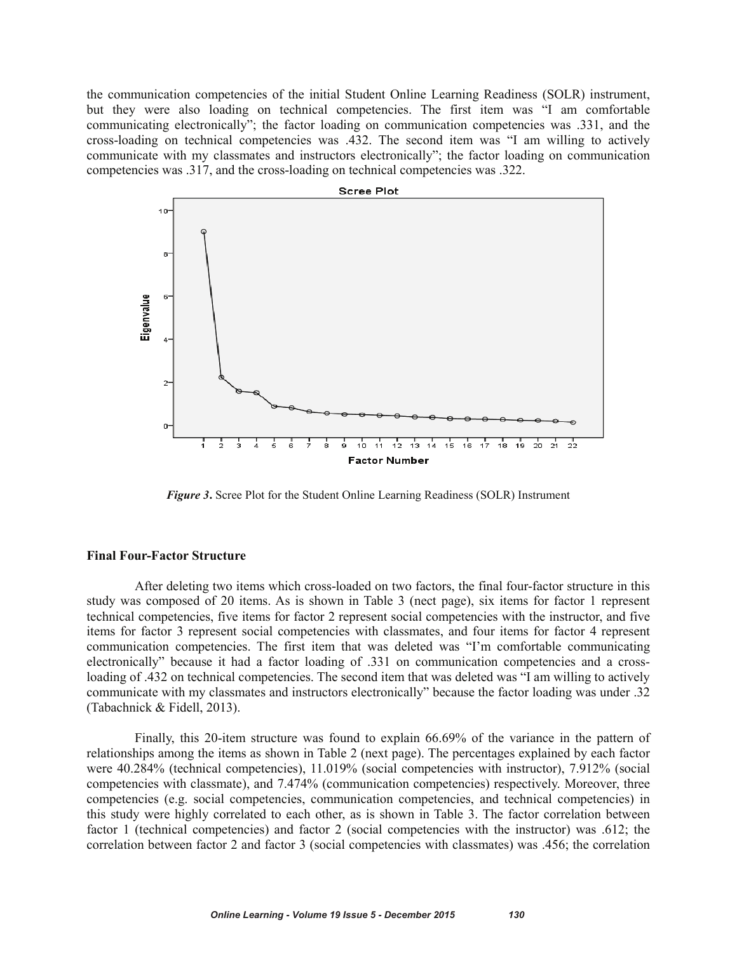the communication competencies of the initial Student Online Learning Readiness (SOLR) instrument, but they were also loading on technical competencies. The first item was "I am comfortable communicating electronically"; the factor loading on communication competencies was .331, and the cross-loading on technical competencies was .432. The second item was "I am willing to actively communicate with my classmates and instructors electronically"; the factor loading on communication competencies was .317, and the cross-loading on technical competencies was .322.



*Figure 3***.** Scree Plot for the Student Online Learning Readiness (SOLR) Instrument

#### **Final Four-Factor Structure**

After deleting two items which cross-loaded on two factors, the final four-factor structure in this study was composed of 20 items. As is shown in Table 3 (nect page), six items for factor 1 represent technical competencies, five items for factor 2 represent social competencies with the instructor, and five items for factor 3 represent social competencies with classmates, and four items for factor 4 represent communication competencies. The first item that was deleted was "I'm comfortable communicating electronically" because it had a factor loading of .331 on communication competencies and a crossloading of .432 on technical competencies. The second item that was deleted was "I am willing to actively communicate with my classmates and instructors electronically" because the factor loading was under .32 (Tabachnick & Fidell, 2013).

Finally, this 20-item structure was found to explain 66.69% of the variance in the pattern of relationships among the items as shown in Table 2 (next page). The percentages explained by each factor were 40.284% (technical competencies), 11.019% (social competencies with instructor), 7.912% (social competencies with classmate), and 7.474% (communication competencies) respectively. Moreover, three competencies (e.g. social competencies, communication competencies, and technical competencies) in this study were highly correlated to each other, as is shown in Table 3. The factor correlation between factor 1 (technical competencies) and factor 2 (social competencies with the instructor) was .612; the correlation between factor 2 and factor 3 (social competencies with classmates) was .456; the correlation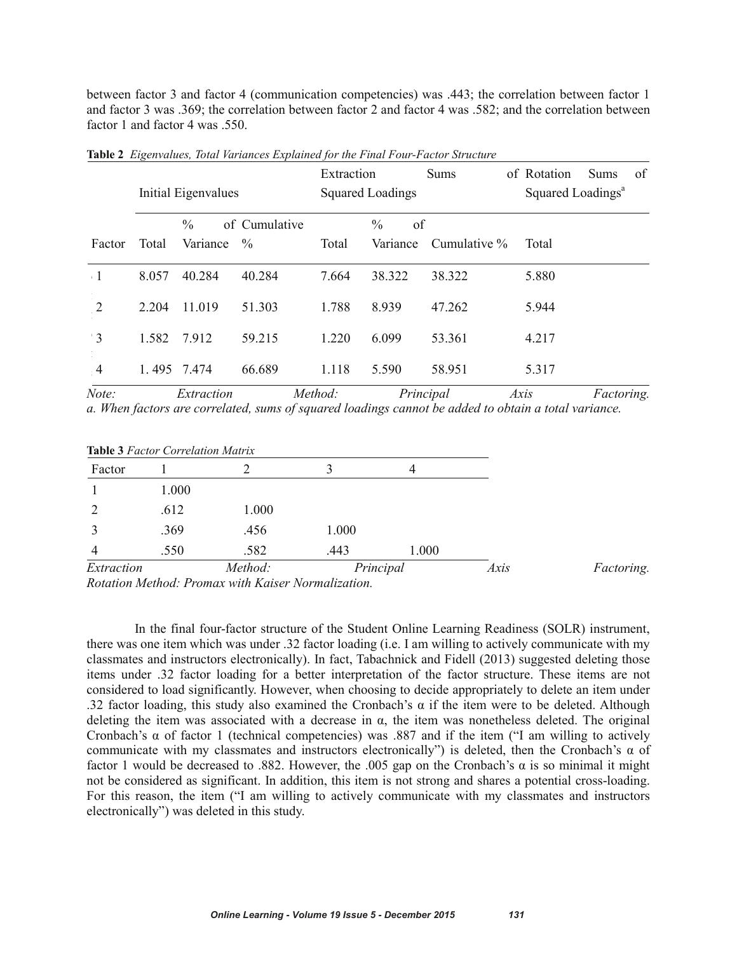between factor 3 and factor 4 (communication competencies) was .443; the correlation between factor 1 and factor 3 was .369; the correlation between factor 2 and factor 4 was .582; and the correlation between factor 1 and factor 4 was .550.

|                |             | Initial Eigenvalues       |                       | Extraction | <b>Squared Loadings</b>         | <b>Sums</b>  | of Rotation<br>Squared Loadings <sup>a</sup> | <b>Sums</b> | of |
|----------------|-------------|---------------------------|-----------------------|------------|---------------------------------|--------------|----------------------------------------------|-------------|----|
| Factor         | Total       | $\frac{0}{0}$<br>Variance | of Cumulative<br>$\%$ | Total      | $\frac{0}{0}$<br>of<br>Variance | Cumulative % | Total                                        |             |    |
| $\cdot$ 1      | 8.057       | 40.284                    | 40.284                | 7.664      | 38.322                          | 38.322       | 5.880                                        |             |    |
| $\overline{2}$ | 2 2 0 4     | 11.019                    | 51.303                | 1.788      | 8.939                           | 47.262       | 5.944                                        |             |    |
| $\overline{3}$ | 1.582       | 7.912                     | 59.215                | 1.220      | 6.099                           | 53.361       | 4.217                                        |             |    |
| $\frac{4}{3}$  | 1.495 7.474 |                           | 66.689                | 1.118      | 5.590                           | 58.951       | 5.317                                        |             |    |

**Table 2** *Eigenvalues, Total Variances Explained for the Final Four-Factor Structure*

*Note: Extraction Method: Principal Axis Factoring. a. When factors are correlated, sums of squared loadings cannot be added to obtain a total variance.* 

|  | <b>Table 3 Factor Correlation Matrix</b> |  |
|--|------------------------------------------|--|
|  |                                          |  |

| Factor                                           |       |                                                                                                                                                                                                                                                                                                                                               |                                                     | 4     |      |            |
|--------------------------------------------------|-------|-----------------------------------------------------------------------------------------------------------------------------------------------------------------------------------------------------------------------------------------------------------------------------------------------------------------------------------------------|-----------------------------------------------------|-------|------|------------|
|                                                  | 1.000 |                                                                                                                                                                                                                                                                                                                                               |                                                     |       |      |            |
|                                                  | .612  | 1.000                                                                                                                                                                                                                                                                                                                                         |                                                     |       |      |            |
|                                                  | .369  | .456                                                                                                                                                                                                                                                                                                                                          | 1.000                                               |       |      |            |
|                                                  | .550  | .582                                                                                                                                                                                                                                                                                                                                          | .443                                                | 1.000 |      |            |
| Extraction<br><b>P.</b> . <b>16</b> 17 <b>P.</b> |       | Method:<br>$\mathbf{1}$ $\mathbf{1}$ $\mathbf{1}$ $\mathbf{1}$ $\mathbf{1}$ $\mathbf{1}$ $\mathbf{1}$ $\mathbf{1}$ $\mathbf{1}$ $\mathbf{1}$ $\mathbf{1}$ $\mathbf{1}$ $\mathbf{1}$ $\mathbf{1}$ $\mathbf{1}$ $\mathbf{1}$ $\mathbf{1}$ $\mathbf{1}$ $\mathbf{1}$ $\mathbf{1}$ $\mathbf{1}$ $\mathbf{1}$ $\mathbf{1}$ $\mathbf{1}$ $\mathbf{$ | Principal<br>$\mathbf{r}$ . The set of $\mathbf{r}$ |       | Axis | Factoring. |

*Rotation Method: Promax with Kaiser Normalization.*

In the final four-factor structure of the Student Online Learning Readiness (SOLR) instrument, there was one item which was under .32 factor loading (i.e. I am willing to actively communicate with my classmates and instructors electronically). In fact, Tabachnick and Fidell (2013) suggested deleting those items under .32 factor loading for a better interpretation of the factor structure. These items are not considered to load significantly. However, when choosing to decide appropriately to delete an item under .32 factor loading, this study also examined the Cronbach's  $\alpha$  if the item were to be deleted. Although deleting the item was associated with a decrease in  $\alpha$ , the item was nonetheless deleted. The original Cronbach's  $\alpha$  of factor 1 (technical competencies) was .887 and if the item ("I am willing to actively communicate with my classmates and instructors electronically") is deleted, then the Cronbach's  $\alpha$  of factor 1 would be decreased to .882. However, the .005 gap on the Cronbach's  $\alpha$  is so minimal it might not be considered as significant. In addition, this item is not strong and shares a potential cross-loading. For this reason, the item ("I am willing to actively communicate with my classmates and instructors electronically") was deleted in this study.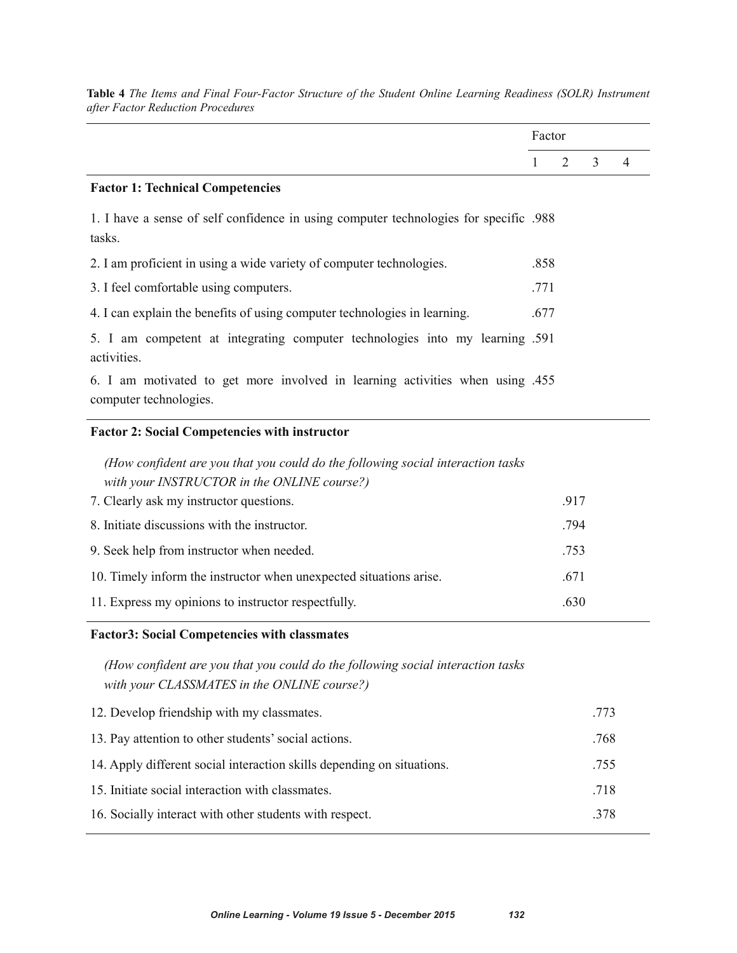|                                                                                                                                 | Factor |      |   |   |
|---------------------------------------------------------------------------------------------------------------------------------|--------|------|---|---|
|                                                                                                                                 | 1      | 2    | 3 | 4 |
| <b>Factor 1: Technical Competencies</b>                                                                                         |        |      |   |   |
| 1. I have a sense of self confidence in using computer technologies for specific .988<br>tasks.                                 |        |      |   |   |
| 2. I am proficient in using a wide variety of computer technologies.                                                            | .858   |      |   |   |
| 3. I feel comfortable using computers.                                                                                          | .771   |      |   |   |
| 4. I can explain the benefits of using computer technologies in learning.                                                       | .677   |      |   |   |
| 5. I am competent at integrating computer technologies into my learning .591<br>activities.                                     |        |      |   |   |
| 6. I am motivated to get more involved in learning activities when using .455<br>computer technologies.                         |        |      |   |   |
| <b>Factor 2: Social Competencies with instructor</b>                                                                            |        |      |   |   |
| (How confident are you that you could do the following social interaction tasks)<br>with your INSTRUCTOR in the ONLINE course?) |        |      |   |   |
| 7. Clearly ask my instructor questions.                                                                                         |        | .917 |   |   |
| 8. Initiate discussions with the instructor.                                                                                    |        | .794 |   |   |
| 9. Seek help from instructor when needed.                                                                                       |        | .753 |   |   |
| 10. Timely inform the instructor when unexpected situations arise.                                                              |        | .671 |   |   |
| 11. Express my opinions to instructor respectfully.                                                                             |        | .630 |   |   |

**Table 4** *The Items and Final Four-Factor Structure of the Student Online Learning Readiness (SOLR) Instrument after Factor Reduction Procedures*

# **Factor3: Social Competencies with classmates**

*(How confident are you that you could do the following social interaction tasks with your CLASSMATES in the ONLINE course?)* 

| 12. Develop friendship with my classmates.                             | .773 |
|------------------------------------------------------------------------|------|
| 13. Pay attention to other students' social actions.                   | .768 |
| 14. Apply different social interaction skills depending on situations. | .755 |
| 15. Initiate social interaction with classmates.                       | .718 |
| 16. Socially interact with other students with respect.                | 378  |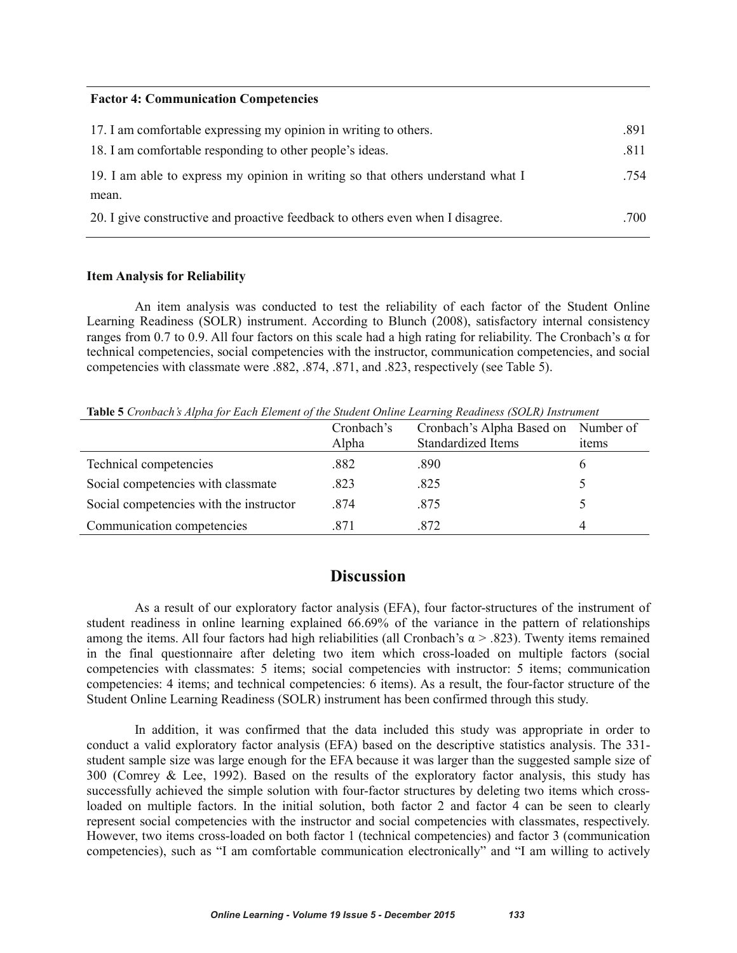#### **Factor 4: Communication Competencies**

| 17. I am comfortable expressing my opinion in writing to others.                | .891 |
|---------------------------------------------------------------------------------|------|
| 18. I am comfortable responding to other people's ideas.                        | .811 |
| 19. I am able to express my opinion in writing so that others understand what I | .754 |
| mean.                                                                           |      |
| 20. I give constructive and proactive feedback to others even when I disagree.  | .700 |

#### **Item Analysis for Reliability**

An item analysis was conducted to test the reliability of each factor of the Student Online Learning Readiness (SOLR) instrument. According to Blunch (2008), satisfactory internal consistency ranges from 0.7 to 0.9. All four factors on this scale had a high rating for reliability. The Cronbach's  $\alpha$  for technical competencies, social competencies with the instructor, communication competencies, and social competencies with classmate were .882, .874, .871, and .823, respectively (see Table 5).

**Table 5** *Cronbach's Alpha for Each Element of the Student Online Learning Readiness (SOLR) Instrument*

|                                         | Cronbach's<br>Alpha | Cronbach's Alpha Based on<br><b>Standardized Items</b> | Number of<br>items |
|-----------------------------------------|---------------------|--------------------------------------------------------|--------------------|
| Technical competencies                  | .882                | .890                                                   | O.                 |
| Social competencies with classmate      | .823                | .825                                                   |                    |
| Social competencies with the instructor | .874                | .875                                                   |                    |
| Communication competencies              | .871                | .872                                                   | 4                  |

# **Discussion**

As a result of our exploratory factor analysis (EFA), four factor-structures of the instrument of student readiness in online learning explained 66.69% of the variance in the pattern of relationships among the items. All four factors had high reliabilities (all Cronbach's  $\alpha$  > .823). Twenty items remained in the final questionnaire after deleting two item which cross-loaded on multiple factors (social competencies with classmates: 5 items; social competencies with instructor: 5 items; communication competencies: 4 items; and technical competencies: 6 items). As a result, the four-factor structure of the Student Online Learning Readiness (SOLR) instrument has been confirmed through this study.

In addition, it was confirmed that the data included this study was appropriate in order to conduct a valid exploratory factor analysis (EFA) based on the descriptive statistics analysis. The 331 student sample size was large enough for the EFA because it was larger than the suggested sample size of 300 (Comrey & Lee, 1992). Based on the results of the exploratory factor analysis, this study has successfully achieved the simple solution with four-factor structures by deleting two items which crossloaded on multiple factors. In the initial solution, both factor 2 and factor 4 can be seen to clearly represent social competencies with the instructor and social competencies with classmates, respectively. However, two items cross-loaded on both factor 1 (technical competencies) and factor 3 (communication competencies), such as "I am comfortable communication electronically" and "I am willing to actively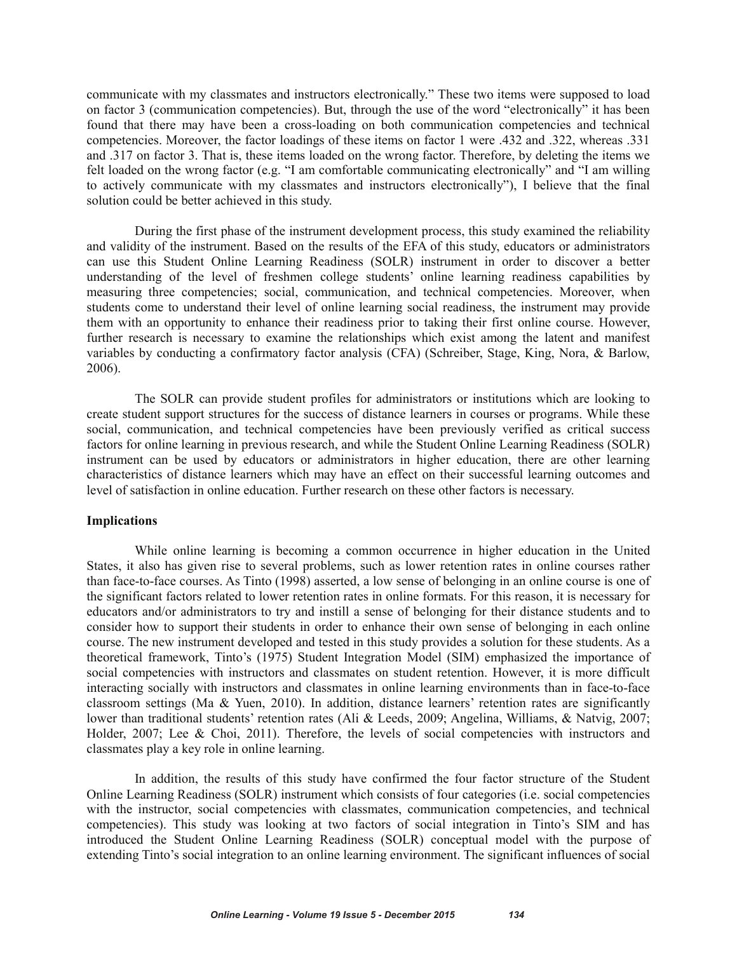communicate with my classmates and instructors electronically." These two items were supposed to load on factor 3 (communication competencies). But, through the use of the word "electronically" it has been found that there may have been a cross-loading on both communication competencies and technical competencies. Moreover, the factor loadings of these items on factor 1 were .432 and .322, whereas .331 and .317 on factor 3. That is, these items loaded on the wrong factor. Therefore, by deleting the items we felt loaded on the wrong factor (e.g. "I am comfortable communicating electronically" and "I am willing to actively communicate with my classmates and instructors electronically"), I believe that the final solution could be better achieved in this study.

During the first phase of the instrument development process, this study examined the reliability and validity of the instrument. Based on the results of the EFA of this study, educators or administrators can use this Student Online Learning Readiness (SOLR) instrument in order to discover a better understanding of the level of freshmen college students' online learning readiness capabilities by measuring three competencies; social, communication, and technical competencies. Moreover, when students come to understand their level of online learning social readiness, the instrument may provide them with an opportunity to enhance their readiness prior to taking their first online course. However, further research is necessary to examine the relationships which exist among the latent and manifest variables by conducting a confirmatory factor analysis (CFA) (Schreiber, Stage, King, Nora, & Barlow, 2006).

The SOLR can provide student profiles for administrators or institutions which are looking to create student support structures for the success of distance learners in courses or programs. While these social, communication, and technical competencies have been previously verified as critical success factors for online learning in previous research, and while the Student Online Learning Readiness (SOLR) instrument can be used by educators or administrators in higher education, there are other learning characteristics of distance learners which may have an effect on their successful learning outcomes and level of satisfaction in online education. Further research on these other factors is necessary.

#### **Implications**

While online learning is becoming a common occurrence in higher education in the United States, it also has given rise to several problems, such as lower retention rates in online courses rather than face-to-face courses. As Tinto (1998) asserted, a low sense of belonging in an online course is one of the significant factors related to lower retention rates in online formats. For this reason, it is necessary for educators and/or administrators to try and instill a sense of belonging for their distance students and to consider how to support their students in order to enhance their own sense of belonging in each online course. The new instrument developed and tested in this study provides a solution for these students. As a theoretical framework, Tinto's (1975) Student Integration Model (SIM) emphasized the importance of social competencies with instructors and classmates on student retention. However, it is more difficult interacting socially with instructors and classmates in online learning environments than in face-to-face classroom settings (Ma & Yuen, 2010). In addition, distance learners' retention rates are significantly lower than traditional students' retention rates (Ali & Leeds, 2009; Angelina, Williams, & Natvig, 2007; Holder, 2007; Lee & Choi, 2011). Therefore, the levels of social competencies with instructors and classmates play a key role in online learning.

In addition, the results of this study have confirmed the four factor structure of the Student Online Learning Readiness (SOLR) instrument which consists of four categories (i.e. social competencies with the instructor, social competencies with classmates, communication competencies, and technical competencies). This study was looking at two factors of social integration in Tinto's SIM and has introduced the Student Online Learning Readiness (SOLR) conceptual model with the purpose of extending Tinto's social integration to an online learning environment. The significant influences of social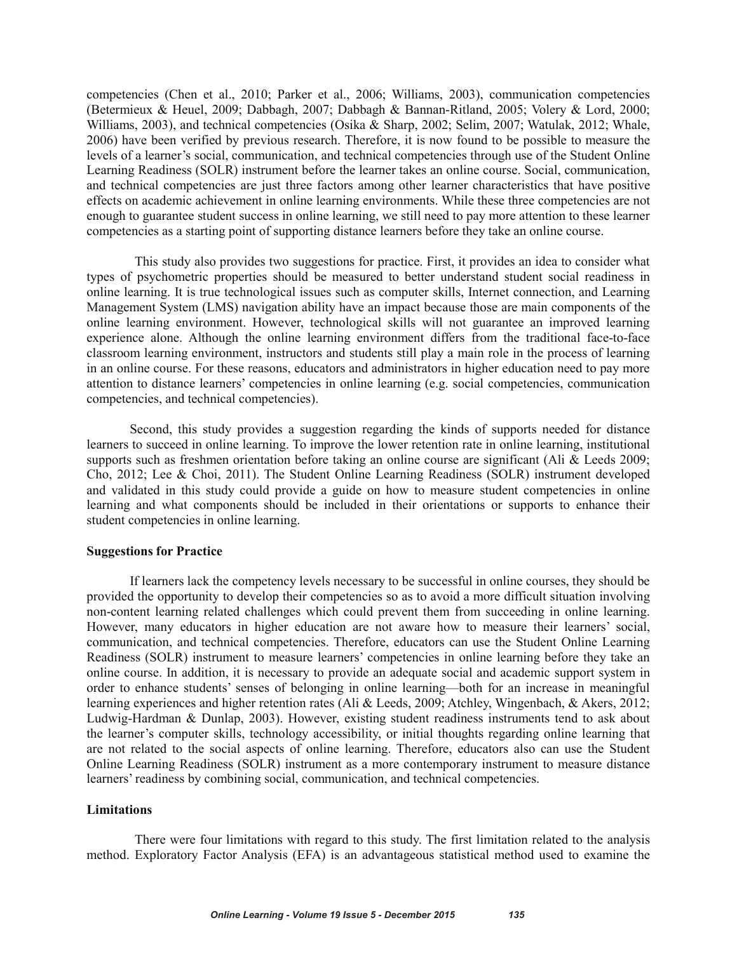competencies (Chen et al., 2010; Parker et al., 2006; Williams, 2003), communication competencies (Betermieux & Heuel, 2009; Dabbagh, 2007; Dabbagh & Bannan-Ritland, 2005; Volery & Lord, 2000; Williams, 2003), and technical competencies (Osika & Sharp, 2002; Selim, 2007; Watulak, 2012; Whale, 2006) have been verified by previous research. Therefore, it is now found to be possible to measure the levels of a learner's social, communication, and technical competencies through use of the Student Online Learning Readiness (SOLR) instrument before the learner takes an online course. Social, communication, and technical competencies are just three factors among other learner characteristics that have positive effects on academic achievement in online learning environments. While these three competencies are not enough to guarantee student success in online learning, we still need to pay more attention to these learner competencies as a starting point of supporting distance learners before they take an online course.

This study also provides two suggestions for practice. First, it provides an idea to consider what types of psychometric properties should be measured to better understand student social readiness in online learning. It is true technological issues such as computer skills, Internet connection, and Learning Management System (LMS) navigation ability have an impact because those are main components of the online learning environment. However, technological skills will not guarantee an improved learning experience alone. Although the online learning environment differs from the traditional face-to-face classroom learning environment, instructors and students still play a main role in the process of learning in an online course. For these reasons, educators and administrators in higher education need to pay more attention to distance learners' competencies in online learning (e.g. social competencies, communication competencies, and technical competencies).

Second, this study provides a suggestion regarding the kinds of supports needed for distance learners to succeed in online learning. To improve the lower retention rate in online learning, institutional supports such as freshmen orientation before taking an online course are significant (Ali & Leeds 2009; Cho, 2012; Lee & Choi, 2011). The Student Online Learning Readiness (SOLR) instrument developed and validated in this study could provide a guide on how to measure student competencies in online learning and what components should be included in their orientations or supports to enhance their student competencies in online learning.

#### **Suggestions for Practice**

If learners lack the competency levels necessary to be successful in online courses, they should be provided the opportunity to develop their competencies so as to avoid a more difficult situation involving non-content learning related challenges which could prevent them from succeeding in online learning. However, many educators in higher education are not aware how to measure their learners' social, communication, and technical competencies. Therefore, educators can use the Student Online Learning Readiness (SOLR) instrument to measure learners' competencies in online learning before they take an online course. In addition, it is necessary to provide an adequate social and academic support system in order to enhance students' senses of belonging in online learning—both for an increase in meaningful learning experiences and higher retention rates (Ali & Leeds, 2009; Atchley, Wingenbach, & Akers, 2012; Ludwig-Hardman & Dunlap, 2003). However, existing student readiness instruments tend to ask about the learner's computer skills, technology accessibility, or initial thoughts regarding online learning that are not related to the social aspects of online learning. Therefore, educators also can use the Student Online Learning Readiness (SOLR) instrument as a more contemporary instrument to measure distance learners' readiness by combining social, communication, and technical competencies.

#### **Limitations**

There were four limitations with regard to this study. The first limitation related to the analysis method. Exploratory Factor Analysis (EFA) is an advantageous statistical method used to examine the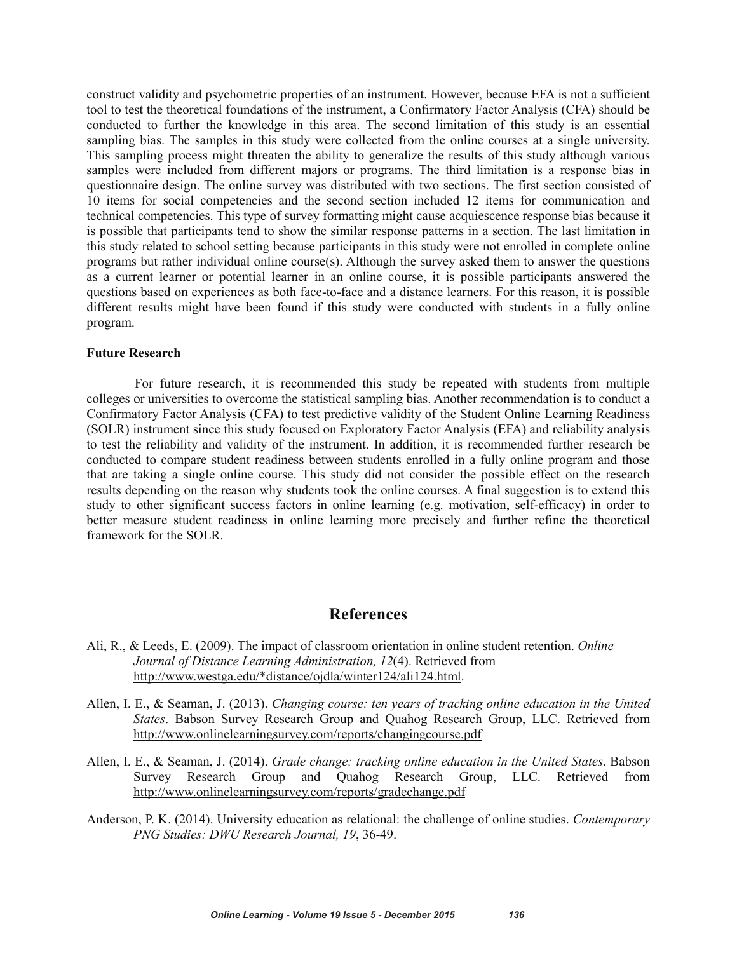construct validity and psychometric properties of an instrument. However, because EFA is not a sufficient tool to test the theoretical foundations of the instrument, a Confirmatory Factor Analysis (CFA) should be conducted to further the knowledge in this area. The second limitation of this study is an essential sampling bias. The samples in this study were collected from the online courses at a single university. This sampling process might threaten the ability to generalize the results of this study although various samples were included from different majors or programs. The third limitation is a response bias in questionnaire design. The online survey was distributed with two sections. The first section consisted of 10 items for social competencies and the second section included 12 items for communication and technical competencies. This type of survey formatting might cause acquiescence response bias because it is possible that participants tend to show the similar response patterns in a section. The last limitation in this study related to school setting because participants in this study were not enrolled in complete online programs but rather individual online course(s). Although the survey asked them to answer the questions as a current learner or potential learner in an online course, it is possible participants answered the questions based on experiences as both face-to-face and a distance learners. For this reason, it is possible different results might have been found if this study were conducted with students in a fully online program.

#### **Future Research**

For future research, it is recommended this study be repeated with students from multiple colleges or universities to overcome the statistical sampling bias. Another recommendation is to conduct a Confirmatory Factor Analysis (CFA) to test predictive validity of the Student Online Learning Readiness (SOLR) instrument since this study focused on Exploratory Factor Analysis (EFA) and reliability analysis to test the reliability and validity of the instrument. In addition, it is recommended further research be conducted to compare student readiness between students enrolled in a fully online program and those that are taking a single online course. This study did not consider the possible effect on the research results depending on the reason why students took the online courses. A final suggestion is to extend this study to other significant success factors in online learning (e.g. motivation, self-efficacy) in order to better measure student readiness in online learning more precisely and further refine the theoretical framework for the SOLR.

# **References**

- Ali, R., & Leeds, E. (2009). The impact of classroom orientation in online student retention. *Online Journal of Distance Learning Administration, 12*(4). Retrieved from http://www.westga.edu/\*distance/ojdla/winter124/ali124.html.
- Allen, I. E., & Seaman, J. (2013). *Changing course: ten years of tracking online education in the United States*. Babson Survey Research Group and Quahog Research Group, LLC. Retrieved from http://www.onlinelearningsurvey.com/reports/changingcourse.pdf
- Allen, I. E., & Seaman, J. (2014). *Grade change: tracking online education in the United States*. Babson Survey Research Group and Quahog Research Group, LLC. Retrieved from http://www.onlinelearningsurvey.com/reports/gradechange.pdf
- Anderson, P. K. (2014). University education as relational: the challenge of online studies. *Contemporary PNG Studies: DWU Research Journal, 19*, 36-49.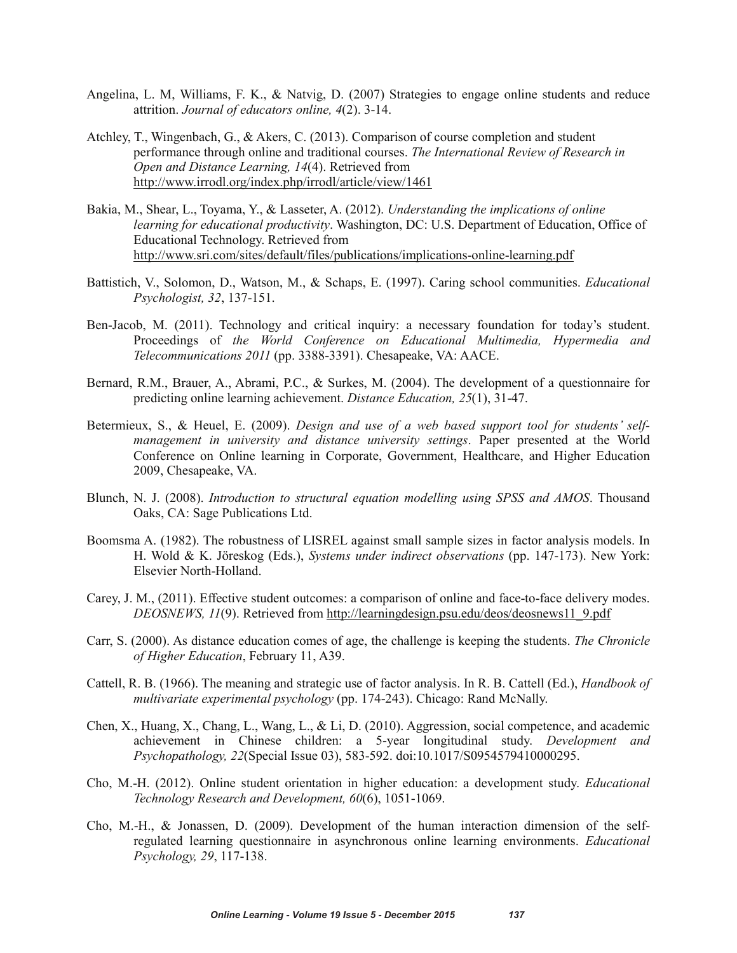- Angelina, L. M, Williams, F. K., & Natvig, D. (2007) Strategies to engage online students and reduce attrition. *Journal of educators online, 4*(2). 3-14.
- Atchley, T., Wingenbach, G., & Akers, C. (2013). Comparison of course completion and student performance through online and traditional courses. *The International Review of Research in Open and Distance Learning, 14*(4). Retrieved from http://www.irrodl.org/index.php/irrodl/article/view/1461
- Bakia, M., Shear, L., Toyama, Y., & Lasseter, A. (2012). *Understanding the implications of online learning for educational productivity*. Washington, DC: U.S. Department of Education, Office of Educational Technology. Retrieved from http://www.sri.com/sites/default/files/publications/implications-online-learning.pdf
- Battistich, V., Solomon, D., Watson, M., & Schaps, E. (1997). Caring school communities. *Educational Psychologist, 32*, 137-151.
- Ben-Jacob, M. (2011). Technology and critical inquiry: a necessary foundation for today's student. Proceedings of *the World Conference on Educational Multimedia, Hypermedia and Telecommunications 2011* (pp. 3388-3391). Chesapeake, VA: AACE.
- Bernard, R.M., Brauer, A., Abrami, P.C., & Surkes, M. (2004). The development of a questionnaire for predicting online learning achievement. *Distance Education, 25*(1), 31-47.
- Betermieux, S., & Heuel, E. (2009). *Design and use of a web based support tool for students' selfmanagement in university and distance university settings*. Paper presented at the World Conference on Online learning in Corporate, Government, Healthcare, and Higher Education 2009, Chesapeake, VA.
- Blunch, N. J. (2008). *Introduction to structural equation modelling using SPSS and AMOS*. Thousand Oaks, CA: Sage Publications Ltd.
- Boomsma A. (1982). The robustness of LISREL against small sample sizes in factor analysis models. In H. Wold & K. Jöreskog (Eds.), *Systems under indirect observations* (pp. 147-173). New York: Elsevier North-Holland.
- Carey, J. M., (2011). Effective student outcomes: a comparison of online and face-to-face delivery modes. *DEOSNEWS, 11*(9). Retrieved from http://learningdesign.psu.edu/deos/deosnews11\_9.pdf
- Carr, S. (2000). As distance education comes of age, the challenge is keeping the students. *The Chronicle of Higher Education*, February 11, A39.
- Cattell, R. B. (1966). The meaning and strategic use of factor analysis. In R. B. Cattell (Ed.), *Handbook of multivariate experimental psychology* (pp. 174-243). Chicago: Rand McNally.
- Chen, X., Huang, X., Chang, L., Wang, L., & Li, D. (2010). Aggression, social competence, and academic achievement in Chinese children: a 5-year longitudinal study. *Development and Psychopathology, 22*(Special Issue 03), 583-592. doi:10.1017/S0954579410000295.
- Cho, M.-H. (2012). Online student orientation in higher education: a development study. *Educational Technology Research and Development, 60*(6), 1051-1069.
- Cho, M.-H., & Jonassen, D. (2009). Development of the human interaction dimension of the selfregulated learning questionnaire in asynchronous online learning environments. *Educational Psychology, 29*, 117-138.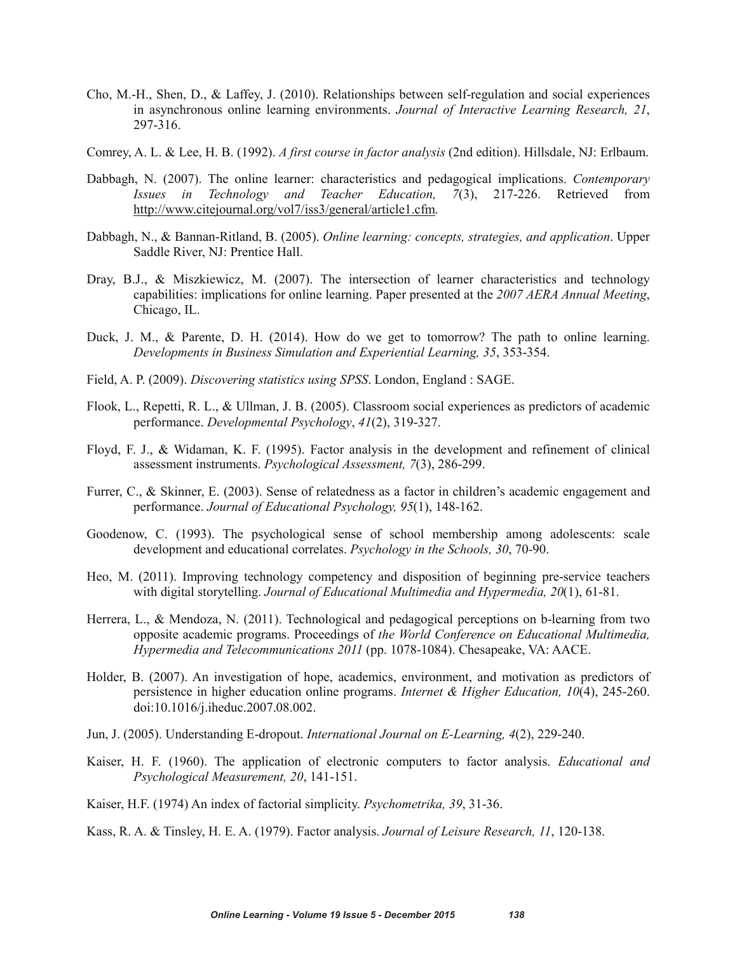- Cho, M.-H., Shen, D., & Laffey, J. (2010). Relationships between self-regulation and social experiences in asynchronous online learning environments. *Journal of Interactive Learning Research, 21*, 297-316.
- Comrey, A. L. & Lee, H. B. (1992). *A first course in factor analysis* (2nd edition). Hillsdale, NJ: Erlbaum.
- Dabbagh, N. (2007). The online learner: characteristics and pedagogical implications. *Contemporary Issues in Technology and Teacher Education, 7*(3), 217-226. Retrieved from http://www.citejournal.org/vol7/iss3/general/article1.cfm.
- Dabbagh, N., & Bannan-Ritland, B. (2005). *Online learning: concepts, strategies, and application*. Upper Saddle River, NJ: Prentice Hall.
- Dray, B.J., & Miszkiewicz, M. (2007). The intersection of learner characteristics and technology capabilities: implications for online learning. Paper presented at the *2007 AERA Annual Meeting*, Chicago, IL.
- Duck, J. M., & Parente, D. H. (2014). How do we get to tomorrow? The path to online learning. *Developments in Business Simulation and Experiential Learning, 35*, 353-354.
- Field, A. P. (2009). *Discovering statistics using SPSS*. London, England : SAGE.
- Flook, L., Repetti, R. L., & Ullman, J. B. (2005). Classroom social experiences as predictors of academic performance. *Developmental Psychology*, *41*(2), 319-327.
- Floyd, F. J., & Widaman, K. F. (1995). Factor analysis in the development and refinement of clinical assessment instruments. *Psychological Assessment, 7*(3), 286-299.
- Furrer, C., & Skinner, E. (2003). Sense of relatedness as a factor in children's academic engagement and performance. *Journal of Educational Psychology, 95*(1), 148-162.
- Goodenow, C. (1993). The psychological sense of school membership among adolescents: scale development and educational correlates. *Psychology in the Schools, 30*, 70-90.
- Heo, M. (2011). Improving technology competency and disposition of beginning pre-service teachers with digital storytelling. *Journal of Educational Multimedia and Hypermedia, 20*(1), 61-81.
- Herrera, L., & Mendoza, N. (2011). Technological and pedagogical perceptions on b-learning from two opposite academic programs. Proceedings of *the World Conference on Educational Multimedia, Hypermedia and Telecommunications 2011* (pp. 1078-1084). Chesapeake, VA: AACE.
- Holder, B. (2007). An investigation of hope, academics, environment, and motivation as predictors of persistence in higher education online programs. *Internet & Higher Education, 10*(4), 245-260. doi:10.1016/j.iheduc.2007.08.002.
- Jun, J. (2005). Understanding E-dropout. *International Journal on E-Learning, 4*(2), 229-240.
- Kaiser, H. F. (1960). The application of electronic computers to factor analysis. *Educational and Psychological Measurement, 20*, 141-151.
- Kaiser, H.F. (1974) An index of factorial simplicity. *Psychometrika, 39*, 31-36.

Kass, R. A. & Tinsley, H. E. A. (1979). Factor analysis. *Journal of Leisure Research, 11*, 120-138.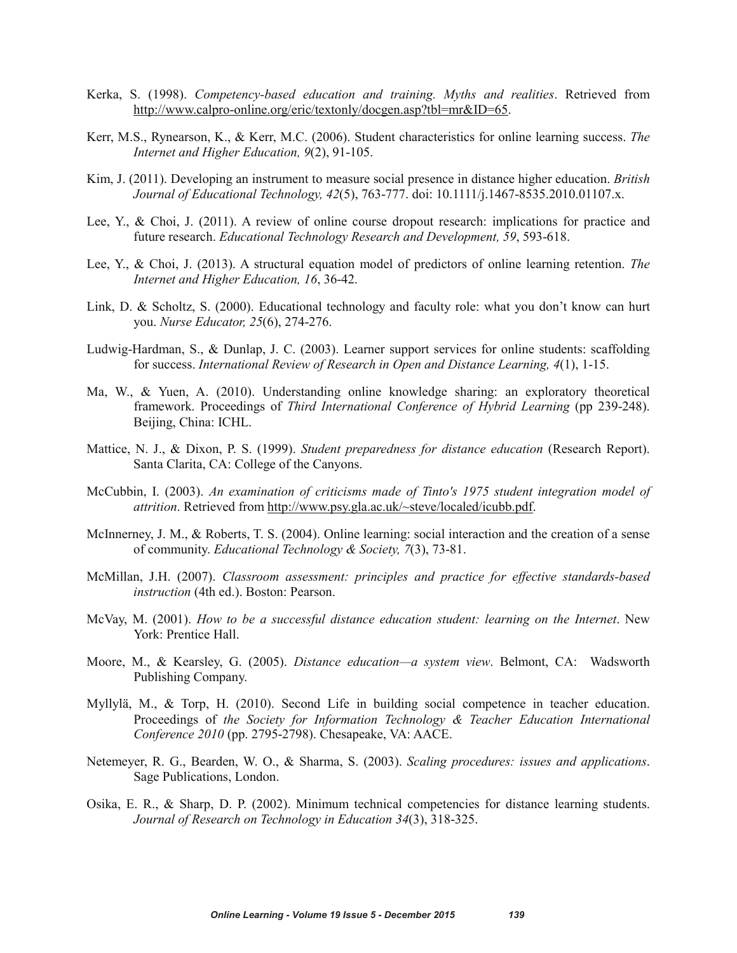- Kerka, S. (1998). *Competency-based education and training. Myths and realities*. Retrieved from http://www.calpro-online.org/eric/textonly/docgen.asp?tbl=mr&ID=65.
- Kerr, M.S., Rynearson, K., & Kerr, M.C. (2006). Student characteristics for online learning success. *The Internet and Higher Education, 9*(2), 91-105.
- Kim, J. (2011). Developing an instrument to measure social presence in distance higher education. *British Journal of Educational Technology, 42*(5), 763-777. doi: 10.1111/j.1467-8535.2010.01107.x.
- Lee, Y., & Choi, J. (2011). A review of online course dropout research: implications for practice and future research. *Educational Technology Research and Development, 59*, 593-618.
- Lee, Y., & Choi, J. (2013). A structural equation model of predictors of online learning retention. *The Internet and Higher Education, 16*, 36-42.
- Link, D. & Scholtz, S. (2000). Educational technology and faculty role: what you don't know can hurt you. *Nurse Educator, 25*(6), 274-276.
- Ludwig-Hardman, S., & Dunlap, J. C. (2003). Learner support services for online students: scaffolding for success. *International Review of Research in Open and Distance Learning, 4*(1), 1-15.
- Ma, W., & Yuen, A. (2010). Understanding online knowledge sharing: an exploratory theoretical framework. Proceedings of *Third International Conference of Hybrid Learning* (pp 239-248). Beijing, China: ICHL.
- Mattice, N. J., & Dixon, P. S. (1999). *Student preparedness for distance education* (Research Report). Santa Clarita, CA: College of the Canyons.
- McCubbin, I. (2003). *An examination of criticisms made of Tinto's 1975 student integration model of attrition*. Retrieved from http://www.psy.gla.ac.uk/~steve/localed/icubb.pdf.
- McInnerney, J. M., & Roberts, T. S. (2004). Online learning: social interaction and the creation of a sense of community. *Educational Technology & Society, 7*(3), 73-81.
- McMillan, J.H. (2007). *Classroom assessment: principles and practice for effective standards-based instruction* (4th ed.). Boston: Pearson.
- McVay, M. (2001). *How to be a successful distance education student: learning on the Internet*. New York: Prentice Hall.
- Moore, M., & Kearsley, G. (2005). *Distance education—a system view*. Belmont, CA: Wadsworth Publishing Company.
- Myllylä, M., & Torp, H. (2010). Second Life in building social competence in teacher education. Proceedings of *the Society for Information Technology & Teacher Education International Conference 2010* (pp. 2795-2798). Chesapeake, VA: AACE.
- Netemeyer, R. G., Bearden, W. O., & Sharma, S. (2003). *Scaling procedures: issues and applications*. Sage Publications, London.
- Osika, E. R., & Sharp, D. P. (2002). Minimum technical competencies for distance learning students. *Journal of Research on Technology in Education 34*(3), 318-325.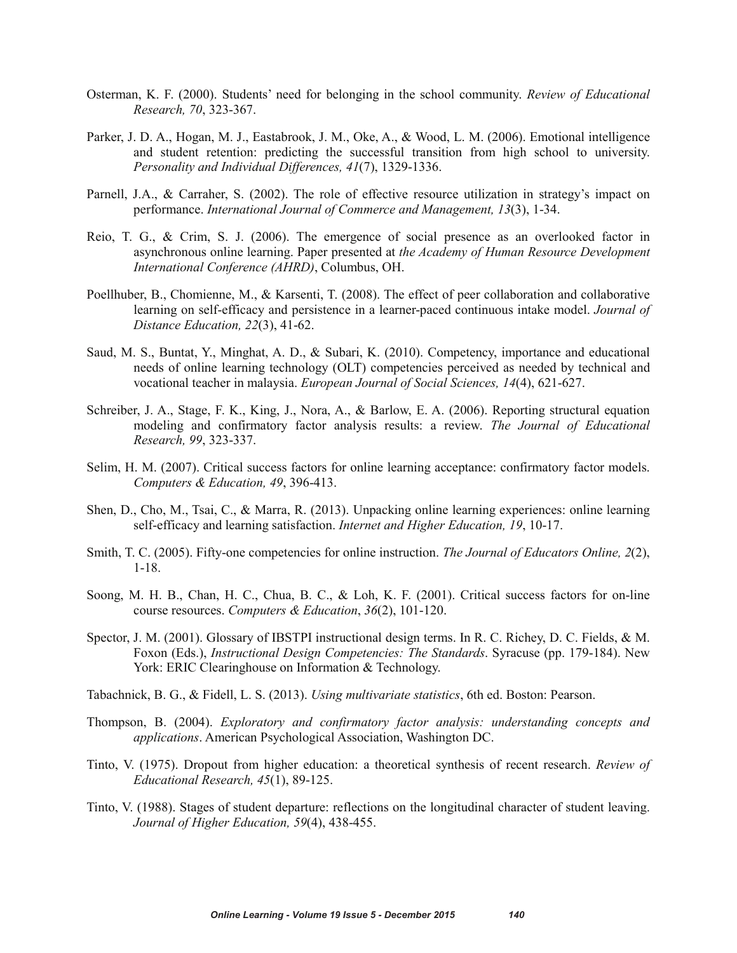- Osterman, K. F. (2000). Students' need for belonging in the school community. *Review of Educational Research, 70*, 323-367.
- Parker, J. D. A., Hogan, M. J., Eastabrook, J. M., Oke, A., & Wood, L. M. (2006). Emotional intelligence and student retention: predicting the successful transition from high school to university. *Personality and Individual Differences, 41*(7), 1329-1336.
- Parnell, J.A., & Carraher, S. (2002). The role of effective resource utilization in strategy's impact on performance. *International Journal of Commerce and Management, 13*(3), 1-34.
- Reio, T. G., & Crim, S. J. (2006). The emergence of social presence as an overlooked factor in asynchronous online learning. Paper presented at *the Academy of Human Resource Development International Conference (AHRD)*, Columbus, OH.
- Poellhuber, B., Chomienne, M., & Karsenti, T. (2008). The effect of peer collaboration and collaborative learning on self-efficacy and persistence in a learner-paced continuous intake model. *Journal of Distance Education, 22*(3), 41-62.
- Saud, M. S., Buntat, Y., Minghat, A. D., & Subari, K. (2010). Competency, importance and educational needs of online learning technology (OLT) competencies perceived as needed by technical and vocational teacher in malaysia. *European Journal of Social Sciences, 14*(4), 621-627.
- Schreiber, J. A., Stage, F. K., King, J., Nora, A., & Barlow, E. A. (2006). Reporting structural equation modeling and confirmatory factor analysis results: a review. *The Journal of Educational Research, 99*, 323-337.
- Selim, H. M. (2007). Critical success factors for online learning acceptance: confirmatory factor models. *Computers & Education, 49*, 396-413.
- Shen, D., Cho, M., Tsai, C., & Marra, R. (2013). Unpacking online learning experiences: online learning self-efficacy and learning satisfaction. *Internet and Higher Education, 19*, 10-17.
- Smith, T. C. (2005). Fifty-one competencies for online instruction. *The Journal of Educators Online, 2*(2), 1-18.
- Soong, M. H. B., Chan, H. C., Chua, B. C., & Loh, K. F. (2001). Critical success factors for on-line course resources. *Computers & Education*, *36*(2), 101-120.
- Spector, J. M. (2001). Glossary of IBSTPI instructional design terms. In R. C. Richey, D. C. Fields, & M. Foxon (Eds.), *Instructional Design Competencies: The Standards*. Syracuse (pp. 179-184). New York: ERIC Clearinghouse on Information & Technology.
- Tabachnick, B. G., & Fidell, L. S. (2013). *Using multivariate statistics*, 6th ed. Boston: Pearson.
- Thompson, B. (2004). *Exploratory and confirmatory factor analysis: understanding concepts and applications*. American Psychological Association, Washington DC.
- Tinto, V. (1975). Dropout from higher education: a theoretical synthesis of recent research. *Review of Educational Research, 45*(1), 89-125.
- Tinto, V. (1988). Stages of student departure: reflections on the longitudinal character of student leaving. *Journal of Higher Education, 59*(4), 438-455.